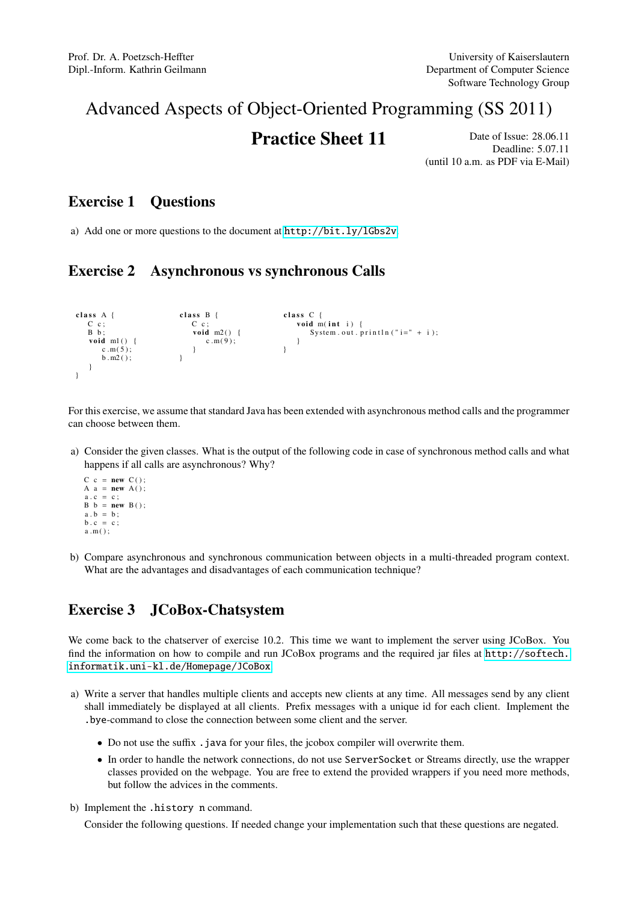# Advanced Aspects of Object-Oriented Programming (SS 2011)

**Practice Sheet 11** Date of Issue: 28.06.11 Deadline: 5.07.11 (until 10 a.m. as PDF via E-Mail)

### Exercise 1 Questions

a) Add one or more questions to the document at <http://bit.ly/lGbs2v>.

## Exercise 2 Asynchronous vs synchronous Calls

```
class A {
    C c ;
B b ;
   void ml() {
       c.m(5):
       \overrightarrow{b} . m2 ( );
    }
}
                              class B {
                                 C c :
                                  void m2() {
                                   c.m(9):
                                 }
                              }
                                                            class \ C {
                                                               void m(int i) {
                                                                   System . out . println ("i =" + i);
                                                               }
                                                            }
```
For this exercise, we assume that standard Java has been extended with asynchronous method calls and the programmer can choose between them.

- a) Consider the given classes. What is the output of the following code in case of synchronous method calls and what happens if all calls are asynchronous? Why?
	- $C \ c = new \ C()$ A  $a = new A()$ ;  $a \cdot c = c$ ;  $B b = new B()$ ;  $a \cdot b = b$ ;  $b \cdot c = c$ ;  $a.m()$ ;
- b) Compare asynchronous and synchronous communication between objects in a multi-threaded program context. What are the advantages and disadvantages of each communication technique?

## Exercise 3 JCoBox-Chatsystem

We come back to the chatserver of exercise 10.2. This time we want to implement the server using JCoBox. You find the information on how to compile and run JCoBox programs and the required jar files at [http://softech.](http://softech.informatik.uni-kl.de/Homepage/JCoBox) [informatik.uni-kl.de/Homepage/JCoBox](http://softech.informatik.uni-kl.de/Homepage/JCoBox).

- a) Write a server that handles multiple clients and accepts new clients at any time. All messages send by any client shall immediately be displayed at all clients. Prefix messages with a unique id for each client. Implement the .bye-command to close the connection between some client and the server.
	- Do not use the suffix . java for your files, the jcobox compiler will overwrite them.
	- In order to handle the network connections, do not use ServerSocket or Streams directly, use the wrapper classes provided on the webpage. You are free to extend the provided wrappers if you need more methods, but follow the advices in the comments.
- b) Implement the .history n command.

Consider the following questions. If needed change your implementation such that these questions are negated.